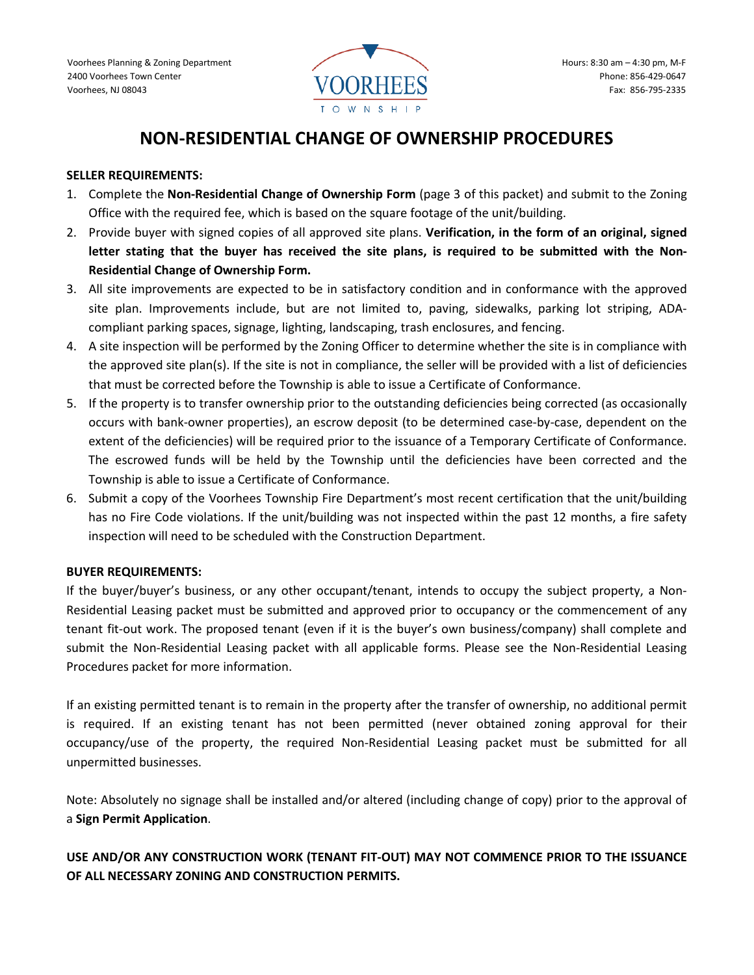

# **NON-RESIDENTIAL CHANGE OF OWNERSHIP PROCEDURES**

#### **SELLER REQUIREMENTS:**

- 1. Complete the **Non-Residential Change of Ownership Form** (page 3 of this packet) and submit to the Zoning Office with the required fee, which is based on the square footage of the unit/building.
- 2. Provide buyer with signed copies of all approved site plans. **Verification, in the form of an original, signed letter stating that the buyer has received the site plans, is required to be submitted with the Non-Residential Change of Ownership Form.**
- 3. All site improvements are expected to be in satisfactory condition and in conformance with the approved site plan. Improvements include, but are not limited to, paving, sidewalks, parking lot striping, ADAcompliant parking spaces, signage, lighting, landscaping, trash enclosures, and fencing.
- 4. A site inspection will be performed by the Zoning Officer to determine whether the site is in compliance with the approved site plan(s). If the site is not in compliance, the seller will be provided with a list of deficiencies that must be corrected before the Township is able to issue a Certificate of Conformance.
- 5. If the property is to transfer ownership prior to the outstanding deficiencies being corrected (as occasionally occurs with bank-owner properties), an escrow deposit (to be determined case-by-case, dependent on the extent of the deficiencies) will be required prior to the issuance of a Temporary Certificate of Conformance. The escrowed funds will be held by the Township until the deficiencies have been corrected and the Township is able to issue a Certificate of Conformance.
- 6. Submit a copy of the Voorhees Township Fire Department's most recent certification that the unit/building has no Fire Code violations. If the unit/building was not inspected within the past 12 months, a fire safety inspection will need to be scheduled with the Construction Department.

### **BUYER REQUIREMENTS:**

If the buyer/buyer's business, or any other occupant/tenant, intends to occupy the subject property, a Non-Residential Leasing packet must be submitted and approved prior to occupancy or the commencement of any tenant fit-out work. The proposed tenant (even if it is the buyer's own business/company) shall complete and submit the Non-Residential Leasing packet with all applicable forms. Please see the Non-Residential Leasing Procedures packet for more information.

If an existing permitted tenant is to remain in the property after the transfer of ownership, no additional permit is required. If an existing tenant has not been permitted (never obtained zoning approval for their occupancy/use of the property, the required Non-Residential Leasing packet must be submitted for all unpermitted businesses.

Note: Absolutely no signage shall be installed and/or altered (including change of copy) prior to the approval of a **Sign Permit Application**.

# **USE AND/OR ANY CONSTRUCTION WORK (TENANT FIT-OUT) MAY NOT COMMENCE PRIOR TO THE ISSUANCE OF ALL NECESSARY ZONING AND CONSTRUCTION PERMITS.**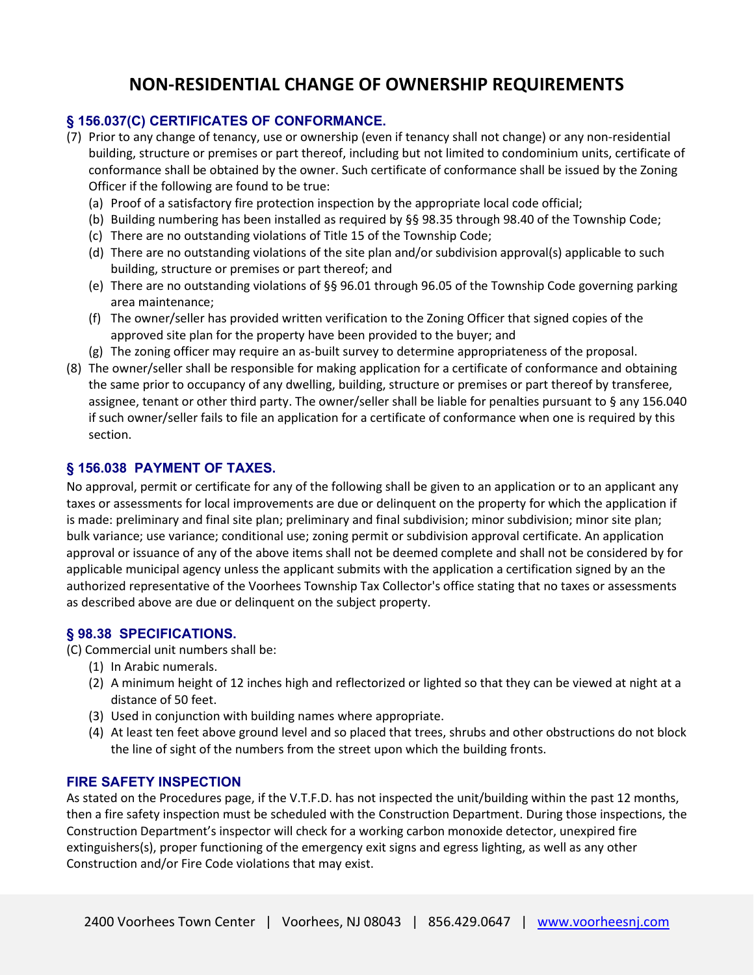# **NON-RESIDENTIAL CHANGE OF OWNERSHIP REQUIREMENTS**

# **§ 156.037(C) CERTIFICATES OF CONFORMANCE.**

- (7) Prior to any change of tenancy, use or ownership (even if tenancy shall not change) or any non-residential building, structure or premises or part thereof, including but not limited to condominium units, certificate of conformance shall be obtained by the owner. Such certificate of conformance shall be issued by the Zoning Officer if the following are found to be true:
	- (a) Proof of a satisfactory fire protection inspection by the appropriate local code official;
	- (b) Building numbering has been installed as required by §§ 98.35 through 98.40 of the Township Code;
	- (c) There are no outstanding violations of Title 15 of the Township Code;
	- (d) There are no outstanding violations of the site plan and/or subdivision approval(s) applicable to such building, structure or premises or part thereof; and
	- (e) There are no outstanding violations of §§ 96.01 through 96.05 of the Township Code governing parking area maintenance;
	- (f) The owner/seller has provided written verification to the Zoning Officer that signed copies of the approved site plan for the property have been provided to the buyer; and
	- (g) The zoning officer may require an as-built survey to determine appropriateness of the proposal.
- (8) The owner/seller shall be responsible for making application for a certificate of conformance and obtaining the same prior to occupancy of any dwelling, building, structure or premises or part thereof by transferee, assignee, tenant or other third party. The owner/seller shall be liable for penalties pursuant to § any 156.040 if such owner/seller fails to file an application for a certificate of conformance when one is required by this section.

## **§ 156.038 PAYMENT OF TAXES.**

No approval, permit or certificate for any of the following shall be given to an application or to an applicant any taxes or assessments for local improvements are due or delinquent on the property for which the application if is made: preliminary and final site plan; preliminary and final subdivision; minor subdivision; minor site plan; bulk variance; use variance; conditional use; zoning permit or subdivision approval certificate. An application approval or issuance of any of the above items shall not be deemed complete and shall not be considered by for applicable municipal agency unless the applicant submits with the application a certification signed by an the authorized representative of the Voorhees Township Tax Collector's office stating that no taxes or assessments as described above are due or delinquent on the subject property.

### **§ 98.38 SPECIFICATIONS.**

(C) Commercial unit numbers shall be:

- (1) In Arabic numerals.
- (2) A minimum height of 12 inches high and reflectorized or lighted so that they can be viewed at night at a distance of 50 feet.
- (3) Used in conjunction with building names where appropriate.
- (4) At least ten feet above ground level and so placed that trees, shrubs and other obstructions do not block the line of sight of the numbers from the street upon which the building fronts.

### **FIRE SAFETY INSPECTION**

As stated on the Procedures page, if the V.T.F.D. has not inspected the unit/building within the past 12 months, then a fire safety inspection must be scheduled with the Construction Department. During those inspections, the Construction Department's inspector will check for a working carbon monoxide detector, unexpired fire extinguishers(s), proper functioning of the emergency exit signs and egress lighting, as well as any other Construction and/or Fire Code violations that may exist.